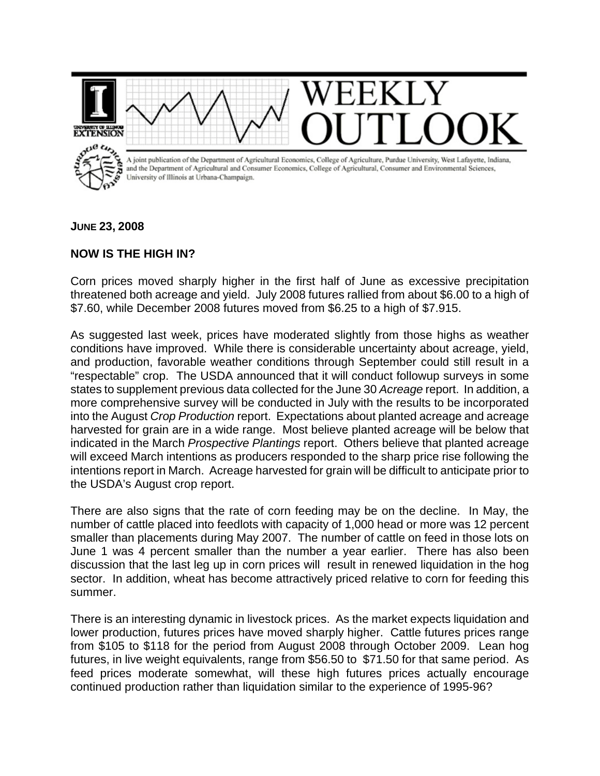

**JUNE 23, 2008** 

## **NOW IS THE HIGH IN?**

Corn prices moved sharply higher in the first half of June as excessive precipitation threatened both acreage and yield. July 2008 futures rallied from about \$6.00 to a high of \$7.60, while December 2008 futures moved from \$6.25 to a high of \$7.915.

As suggested last week, prices have moderated slightly from those highs as weather conditions have improved. While there is considerable uncertainty about acreage, yield, and production, favorable weather conditions through September could still result in a "respectable" crop. The USDA announced that it will conduct followup surveys in some states to supplement previous data collected for the June 30 *Acreage* report. In addition, a more comprehensive survey will be conducted in July with the results to be incorporated into the August *Crop Production* report. Expectations about planted acreage and acreage harvested for grain are in a wide range. Most believe planted acreage will be below that indicated in the March *Prospective Plantings* report. Others believe that planted acreage will exceed March intentions as producers responded to the sharp price rise following the intentions report in March. Acreage harvested for grain will be difficult to anticipate prior to the USDA's August crop report.

There are also signs that the rate of corn feeding may be on the decline. In May, the number of cattle placed into feedlots with capacity of 1,000 head or more was 12 percent smaller than placements during May 2007. The number of cattle on feed in those lots on June 1 was 4 percent smaller than the number a year earlier. There has also been discussion that the last leg up in corn prices will result in renewed liquidation in the hog sector. In addition, wheat has become attractively priced relative to corn for feeding this summer.

There is an interesting dynamic in livestock prices. As the market expects liquidation and lower production, futures prices have moved sharply higher. Cattle futures prices range from \$105 to \$118 for the period from August 2008 through October 2009. Lean hog futures, in live weight equivalents, range from \$56.50 to \$71.50 for that same period. As feed prices moderate somewhat, will these high futures prices actually encourage continued production rather than liquidation similar to the experience of 1995-96?